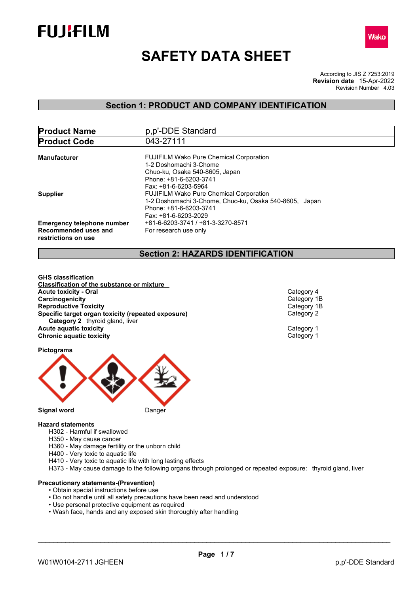



# **SAFETY DATA SHEET**

According to JIS Z 7253:2019 Revision Number 4.03 **Revision date** 15-Apr-2022

## **Section 1: PRODUCT AND COMPANY IDENTIFICATION**

| <b>Product Name</b>                                                              | p, p'-DDE Standard                                                                                       |  |  |  |  |
|----------------------------------------------------------------------------------|----------------------------------------------------------------------------------------------------------|--|--|--|--|
| <b>Product Code</b>                                                              | 043-27111                                                                                                |  |  |  |  |
| <b>Manufacturer</b>                                                              | <b>FUJIFILM Wako Pure Chemical Corporation</b>                                                           |  |  |  |  |
|                                                                                  | 1-2 Doshomachi 3-Chome<br>Chuo-ku, Osaka 540-8605, Japan                                                 |  |  |  |  |
|                                                                                  | Phone: +81-6-6203-3741<br>Fax: +81-6-6203-5964                                                           |  |  |  |  |
| <b>Supplier</b>                                                                  | <b>FUJIFILM Wako Pure Chemical Corporation</b><br>1-2 Doshomachi 3-Chome, Chuo-ku, Osaka 540-8605, Japan |  |  |  |  |
|                                                                                  | Phone: +81-6-6203-3741                                                                                   |  |  |  |  |
|                                                                                  | Fax: +81-6-6203-2029<br>+81-6-6203-3741 / +81-3-3270-8571                                                |  |  |  |  |
| <b>Emergency telephone number</b><br>Recommended uses and<br>restrictions on use | For research use only                                                                                    |  |  |  |  |

## **Section 2: HAZARDS IDENTIFICATION**

**GHS classification Classification of the substance or mixture Acute toxicity - Oral** Category 4 **Carcinogenicity** Category 1B<br> **Reproductive Toxicity** Category 1B **Reproductive Toxicity**<br> **Specific target organ toxicity (repeated exposure)**<br>
Category 2 **Specific target organ toxicity (repeated exposure) Category 2** thyroid gland, liver **Acute aquatic toxicity** Category 1 **Chronic aquatic toxicity** Chronic **aquatic toxicity** Category 1

**Pictograms**



#### **Hazard statements**

- H302 Harmful if swallowed
- H350 May cause cancer
- H360 May damage fertility or the unborn child
- H400 Very toxic to aquatic life
- H410 Very toxic to aquatic life with long lasting effects
- H373 May cause damage to the following organs through prolonged or repeated exposure: thyroid gland, liver

## **Precautionary statements-(Prevention)**

- Obtain special instructions before use
- Do not handle until all safety precautions have been read and understood
- Use personal protective equipment as required
- Wash face, hands and any exposed skin thoroughly after handling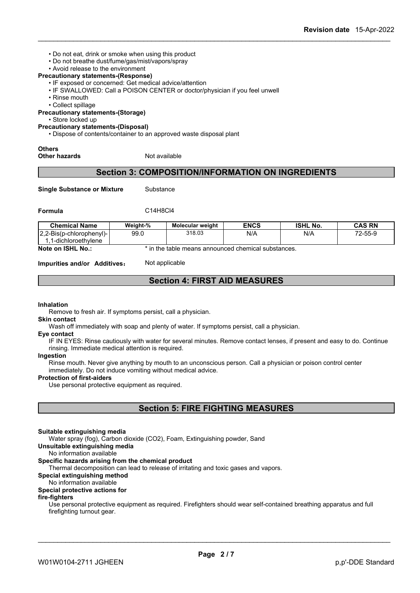- Do not eat, drink or smoke when using this product
- Do not breathe dust/fume/gas/mist/vapors/spray
- Avoid release to the environment

#### **Precautionary statements-(Response)**

- IF exposed or concerned: Get medical advice/attention
- IF SWALLOWED: Call a POISON CENTER or doctor/physician if you feel unwell
- Rinse mouth
- Collect spillage

**Precautionary statements-(Storage)**

• Store locked up

### **Precautionary statements-(Disposal)**

• Dispose of contents/container to an approved waste disposal plant

**Others**

**Other hazards** Not available

## **Section 3: COMPOSITION/INFORMATION ON INGREDIENTS**

**Single Substance or Mixture** Substance

**Formula** C14H8Cl4

| <b>Chemical Name</b>     | Weight-% | <b>Molecular weight</b>                             | <b>ENCS</b> | <b>ISHL No.</b> | CAS RN  |
|--------------------------|----------|-----------------------------------------------------|-------------|-----------------|---------|
| 2.2-Bis(p-chlorophenyl)- | 99.0     | 318.03                                              | N/A         | N/A             | 72-55-9 |
| 1-dichloroethvlene       |          |                                                     |             |                 |         |
| Note on ISHL No.:        |          | * in the table means announced chemical substances. |             |                 |         |

**Impurities and/or Additives:** Not applicable

## **Section 4: FIRST AID MEASURES**

#### **Inhalation**

Remove to fresh air. If symptoms persist, call a physician.

#### **Skin contact**

Wash off immediately with soap and plenty of water. If symptoms persist, call a physician.

#### **Eye contact**

IF IN EYES: Rinse cautiously with water for several minutes. Remove contact lenses, if present and easy to do. Continue rinsing. Immediate medical attention is required.

#### **Ingestion**

Rinse mouth. Never give anything by mouth to an unconscious person. Call a physician or poison control center immediately. Do not induce vomiting without medical advice.

#### **Protection of first-aiders**

Use personal protective equipment as required.

## **Section 5: FIRE FIGHTING MEASURES**

#### **Suitable extinguishing media**

Water spray (fog), Carbon dioxide (CO2), Foam, Extinguishing powder, Sand

#### **Unsuitable extinguishing media**

No information available

#### **Specific hazards arising from the chemical product**

Thermal decomposition can lead to release of irritating and toxic gases and vapors.

## **Special extinguishing method**

No information available

## **Special protective actions for**

#### **fire-fighters**

Use personal protective equipment as required.Firefighters should wear self-contained breathing apparatus and full firefighting turnout gear.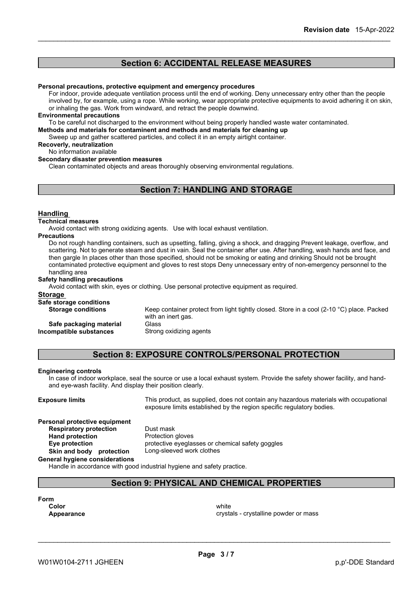## **Section 6: ACCIDENTAL RELEASE MEASURES**

#### **Personal precautions, protective equipment and emergency procedures**

For indoor, provide adequate ventilation process until the end of working. Deny unnecessary entry other than the people involved by, for example, using a rope. While working, wear appropriate protective equipments to avoid adhering it on skin, or inhaling the gas. Work from windward, and retract the people downwind.

#### **Environmental precautions**

To be careful not discharged to the environment without being properly handled waste water contaminated.

**Methods and materials for contaminent and methods and materials for cleaning up**

Sweep up and gather scattered particles, and collect it in an empty airtight container.

#### **Recoverly, neutralization**

No information available

#### **Secondary disaster prevention measures**

Clean contaminated objects and areas thoroughly observing environmental regulations.

## **Section 7: HANDLING AND STORAGE**

#### **Handling**

#### **Technical measures**

Avoid contact with strong oxidizing agents. Use with local exhaust ventilation.

#### **Precautions**

Do not rough handling containers, such as upsetting, falling, giving a shock, and dragging Prevent leakage, overflow, and scattering. Not to generate steam and dust in vain. Seal the container after use. After handling, wash hands and face, and then gargle In places other than those specified, should not be smoking or eating and drinking Should not be brought contaminated protective equipment and gloves to rest stops Deny unnecessary entry of non-emergency personnel to the handling area

#### **Safety handling precautions**

Avoid contact with skin, eyes or clothing. Use personal protective equipment as required.

#### **Storage**

**Safe storage conditions**

**Storage conditions** Keep container protect from light tightly closed. Store in a cool (2-10 °C) place. Packed with an inert gas. **Safe packaging material** Glass

**Incompatible substances** Strong oxidizing agents

## **Section 8: EXPOSURE CONTROLS/PERSONAL PROTECTION**

#### **Engineering controls**

In case of indoor workplace, seal the source or use a local exhaust system. Provide the safety shower facility, and handand eye-wash facility. And display their position clearly.

**Exposure limits** This product, as supplied, does not contain any hazardous materials with occupational exposure limits established by the region specific regulatory bodies.

#### **Personal protective equipment**<br>**Respiratory protection** Dust mask **Respiratory** protection

**Hand protection** Protection gloves **Eye protection** protective eyeglasses or chemical safety goggles<br> **Skin and body protection** Long-sleeved work clothes

#### **Skin** and body protection **General hygiene considerations**

Handle in accordance with good industrial hygiene and safety practice.

## **Section 9: PHYSICAL AND CHEMICAL PROPERTIES**

| Form  |  |  |
|-------|--|--|
| Color |  |  |

**Color** white **Color** white **Color** white **Color** white **Color** white **Color Color Color Color Color Color Color Color Color Color Color Color Color Color Color Color Color Color Color Appearance** crystalline powder or mass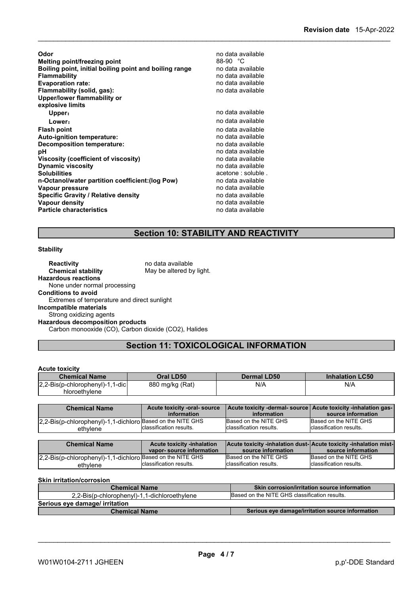**Odor Odor** no data available **no data available no data available no data available no data available no data available no data available no data available no data available no data available no data a Melting point/freezing point Boiling point, initial boiling point and boiling range** no data available **Flammability** no data available **Evaporation rate:**<br> **Elammability (solid, gas):**<br> **Elammability (solid, gas):**<br> **Elammability (solid, gas): Flammability** (solid, gas): **Upper/lower flammability or explosive limits Upper**: **We are the contract of the contract of the contract of the contract of the contract of the contract of the contract of the contract of the contract of the contract of the contract of the contract of the contract Lower: Contract and Contract available** to the no data available **Flash point**<br> **Auto-ignition temperature:**<br> **Auto-ignition temperature:**<br> **Auto-ignition temperature: Auto-ignition temperature: Decomposition temperature:** no data available **pH** no data available<br> **Viscosity (coefficient of viscosity)** no data available **Viscosity (coefficient of viscosity)** no data available **Dynamic viscosity**<br>Solubilities acetone : soluble .<br>no data available **n-Octanol/water partition coefficient: (log Pow) Vapour pressure value of the contract of the contract of the contract of the contract of the contract of the contract of the contract of the contract of the contract of the contract of the contract of the contract of th Specific Gravity / Relative density**<br> **Vapour density** no data available<br> **Vapour density Vapour density**<br> **Particle characteristics**<br> **Particle characteristics**<br> **Particle characteristics Particle characteristics** 

## **Section 10: STABILITY AND REACTIVITY**

#### **Stability**

| <b>Reactivity</b>                                    | no data available        |
|------------------------------------------------------|--------------------------|
| <b>Chemical stability</b>                            | May be altered by light. |
| <b>Hazardous reactions</b>                           |                          |
| None under normal processing                         |                          |
| <b>Conditions to avoid</b>                           |                          |
| Extremes of temperature and direct sunlight          |                          |
| Incompatible materials                               |                          |
| Strong oxidizing agents                              |                          |
| <b>Hazardous decomposition products</b>              |                          |
| Carbon monooxide (CO), Carbon dioxide (CO2), Halides |                          |

## **Section 11: TOXICOLOGICAL INFORMATION**

### **Acute toxicity**

| <b>Chemical Name</b>                     | Oral LD50       | <b>Dermal LD50</b> | <b>Inhalation LC50</b> |
|------------------------------------------|-----------------|--------------------|------------------------|
| $ 2,2$ -Bis(p-chlorophenyl)-1,1<br>-dicl | 880 mg/kg (Rat) | N/A                | N/A                    |
| hloroethylene                            |                 |                    |                        |

| <b>Chemical Name</b>                                                   | Acute toxicity -oral- source<br>information   | Acute toxicity -dermal- source Acute toxicity -inhalation gas-<br>information                   | source information                               |
|------------------------------------------------------------------------|-----------------------------------------------|-------------------------------------------------------------------------------------------------|--------------------------------------------------|
| 2,2-Bis(p-chlorophenyl)-1,1-dichloro Based on the NITE GHS<br>ethylene | Iclassification results.                      | Based on the NITE GHS<br>Iclassification results.                                               | Based on the NITE GHS<br>classification results. |
| $\mathbf{A}$                                                           | A control description of the book of the form | l Albania d'accidente e facto al adda a laterad i Albania d'accidente e facto al adda a lastado |                                                  |

| <b>Chemical Name</b>                                       | Acute toxicity -inhalation |                          | <b>Acute toxicity -inhalation dust-Acute toxicity -inhalation mist-</b> |
|------------------------------------------------------------|----------------------------|--------------------------|-------------------------------------------------------------------------|
|                                                            | vapor-source information   | source information       | source information                                                      |
| 2.2-Bis(p-chlorophenyl)-1.1-dichloro Based on the NITE GHS |                            | Based on the NITE GHS    | Based on the NITE GHS                                                   |
| ethvlene                                                   | Iclassification results.   | Iclassification results. | Iclassification results.                                                |

#### **Skin irritation/corrosion**

| <b>Chemical Name</b>                         | <b>Skin corrosion/irritation source information</b> |
|----------------------------------------------|-----------------------------------------------------|
| 2.2-Bis(p-chlorophenyl)-1.1-dichloroethylene | Based on the NITE GHS classification results.       |
| Serious eye damage/ irritation               |                                                     |
| <b>Chemical Name</b>                         | Serious eye damage/irritation source information    |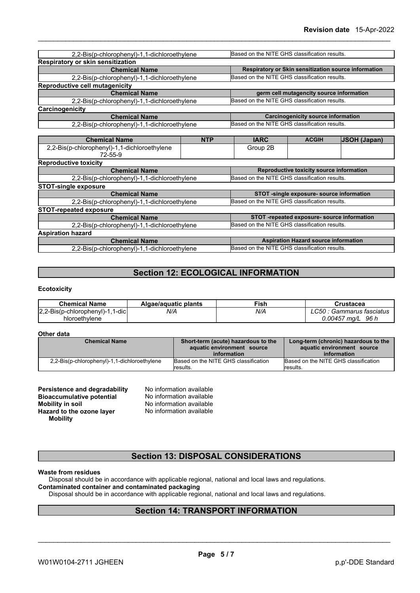| 2,2-Bis(p-chlorophenyl)-1,1-dichloroethylene            |            | Based on the NITE GHS classification results. |                                             |                                                      |
|---------------------------------------------------------|------------|-----------------------------------------------|---------------------------------------------|------------------------------------------------------|
| <b>Respiratory or skin sensitization</b>                |            |                                               |                                             |                                                      |
| <b>Chemical Name</b>                                    |            |                                               |                                             | Respiratory or Skin sensitization source information |
| 2,2-Bis(p-chlorophenyl)-1,1-dichloroethylene            |            | Based on the NITE GHS classification results. |                                             |                                                      |
| Reproductive cell mutagenicity                          |            |                                               |                                             |                                                      |
| <b>Chemical Name</b>                                    |            |                                               | germ cell mutagencity source information    |                                                      |
| 2,2-Bis(p-chlorophenyl)-1,1-dichloroethylene            |            | Based on the NITE GHS classification results. |                                             |                                                      |
| Carcinogenicity                                         |            |                                               |                                             |                                                      |
| <b>Chemical Name</b>                                    |            |                                               | <b>Carcinogenicity source information</b>   |                                                      |
| 2,2-Bis(p-chlorophenyl)-1,1-dichloroethylene            |            | Based on the NITE GHS classification results. |                                             |                                                      |
|                                                         |            |                                               |                                             |                                                      |
| <b>Chemical Name</b>                                    | <b>NTP</b> | <b>IARC</b>                                   | <b>ACGIH</b>                                | <b>JSOH (Japan)</b>                                  |
| 2,2-Bis(p-chlorophenyl)-1,1-dichloroethylene<br>72-55-9 |            | Group 2B                                      |                                             |                                                      |
| <b>Reproductive toxicity</b>                            |            |                                               |                                             |                                                      |
| <b>Chemical Name</b>                                    |            |                                               | Reproductive toxicity source information    |                                                      |
| 2,2-Bis(p-chlorophenyl)-1,1-dichloroethylene            |            | Based on the NITE GHS classification results. |                                             |                                                      |
| <b>STOT-single exposure</b>                             |            |                                               |                                             |                                                      |
| <b>Chemical Name</b>                                    |            |                                               | STOT -single exposure- source information   |                                                      |
| 2,2-Bis(p-chlorophenyl)-1,1-dichloroethylene            |            | Based on the NITE GHS classification results. |                                             |                                                      |
| <b>STOT-repeated exposure</b>                           |            |                                               |                                             |                                                      |
| <b>Chemical Name</b>                                    |            |                                               | STOT -repeated exposure- source information |                                                      |
| 2,2-Bis(p-chlorophenyl)-1,1-dichloroethylene            |            | Based on the NITE GHS classification results. |                                             |                                                      |
| <b>Aspiration hazard</b>                                |            |                                               |                                             |                                                      |
| <b>Chemical Name</b>                                    |            |                                               | <b>Aspiration Hazard source information</b> |                                                      |
| 2,2-Bis(p-chlorophenyl)-1,1-dichloroethylene            |            | Based on the NITE GHS classification results. |                                             |                                                      |
|                                                         |            |                                               |                                             |                                                      |

## **Section 12: ECOLOGICAL INFORMATION**

#### **Ecotoxicity**

| <b>Chemical Name</b>                   | Algae/aguatic plants | Fish | Crustacea                  |
|----------------------------------------|----------------------|------|----------------------------|
| -1.1-12.2-Bis(p-chlorophenyl)<br>1-dic | N/A                  | N/A  | LC50<br>Gammarus tasciatus |
| hloroethylene                          |                      |      | 0.00457<br>96 I<br>ma/l    |

#### **Other data**

| <b>Chemical Name</b>                         | Short-term (acute) hazardous to the<br>aquatic environment source | Long-term (chronic) hazardous to the<br>aquatic environment source |  |
|----------------------------------------------|-------------------------------------------------------------------|--------------------------------------------------------------------|--|
|                                              | information                                                       | information                                                        |  |
| 2,2-Bis(p-chlorophenyl)-1,1-dichloroethylene | Based on the NITE GHS classification<br>results.                  | Based on the NITE GHS classification<br>lresults.                  |  |

| Persistence and degradability    | No information available |  |
|----------------------------------|--------------------------|--|
| <b>Bioaccumulative potential</b> | No information available |  |
| <b>Mobility in soil</b>          | No information available |  |
| Hazard to the ozone layer        | No information available |  |
| <b>Mobility</b>                  |                          |  |

## **Section 13: DISPOSAL CONSIDERATIONS**

#### **Waste from residues**

Disposal should be in accordance with applicable regional, national and local laws and regulations. **Contaminated container and contaminated packaging**

Disposal should be in accordance with applicable regional, national and local laws and regulations.

## **Section 14: TRANSPORT INFORMATION**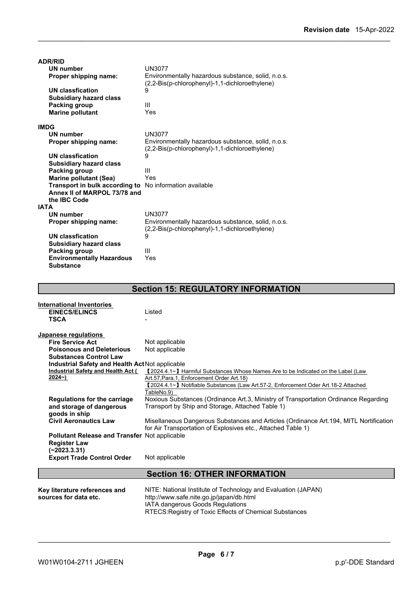| <b>ADR/RID</b>                   |                                                                                                      |
|----------------------------------|------------------------------------------------------------------------------------------------------|
| <b>UN number</b>                 | <b>UN3077</b>                                                                                        |
| Proper shipping name:            | Environmentally hazardous substance, solid, n.o.s.<br>(2,2-Bis(p-chlorophenyl)-1,1-dichloroethylene) |
| <b>UN classfication</b>          | 9                                                                                                    |
| <b>Subsidiary hazard class</b>   |                                                                                                      |
| <b>Packing group</b>             | Ш                                                                                                    |
| <b>Marine pollutant</b>          | Yes                                                                                                  |
|                                  |                                                                                                      |
| <b>IMDG</b>                      |                                                                                                      |
| <b>UN number</b>                 | <b>UN3077</b>                                                                                        |
| Proper shipping name:            | Environmentally hazardous substance, solid, n.o.s.                                                   |
|                                  | (2,2-Bis(p-chlorophenyl)-1,1-dichloroethylene)                                                       |
| <b>UN classfication</b>          | 9                                                                                                    |
| <b>Subsidiary hazard class</b>   |                                                                                                      |
| Packing group                    | Ш                                                                                                    |
| <b>Marine pollutant (Sea)</b>    | Yes                                                                                                  |
| Transport in bulk according to   | No information available                                                                             |
| Annex II of MARPOL 73/78 and     |                                                                                                      |
| the IBC Code                     |                                                                                                      |
| <b>IATA</b>                      |                                                                                                      |
| <b>UN number</b>                 | <b>UN3077</b>                                                                                        |
| Proper shipping name:            | Environmentally hazardous substance, solid, n.o.s.                                                   |
|                                  | (2,2-Bis(p-chlorophenyl)-1,1-dichloroethylene)                                                       |
| <b>UN classfication</b>          | 9                                                                                                    |
| <b>Subsidiary hazard class</b>   |                                                                                                      |
| Packing group                    | Ш                                                                                                    |
| <b>Environmentally Hazardous</b> | Yes                                                                                                  |
| <b>Substance</b>                 |                                                                                                      |

## **Section 15: REGULATORY INFORMATION**

| <b>International Inventories</b>                |                                                                                        |
|-------------------------------------------------|----------------------------------------------------------------------------------------|
| <b>EINECS/ELINCS</b>                            | Listed                                                                                 |
| <b>TSCA</b>                                     |                                                                                        |
| Japanese regulations                            |                                                                                        |
| <b>Fire Service Act</b>                         | Not applicable                                                                         |
| <b>Poisonous and Deleterious</b>                | Not applicable                                                                         |
| <b>Substances Control Law</b>                   |                                                                                        |
| Industrial Safety and Health Act Not applicable |                                                                                        |
| Industrial Safety and Health Act (              | 【2024.4.1∼】 Harmful Substances Whose Names Are to be Indicated on the Label (Law       |
| $2024 - )$                                      | Art.57, Para.1, Enforcement Order Art.18)                                              |
|                                                 | 【2024.4.1~】 Notifiable Substances (Law Art.57-2, Enforcement Oder Art.18-2 Attached    |
|                                                 | TableNo.9)                                                                             |
| Regulations for the carriage                    | Noxious Substances (Ordinance Art.3, Ministry of Transportation Ordinance Regarding    |
| and storage of dangerous                        | Transport by Ship and Storage, Attached Table 1)                                       |
| goods in ship                                   |                                                                                        |
| <b>Civil Aeronautics Law</b>                    | Misellaneous Dangerous Substances and Articles (Ordinance Art. 194, MITL Nortification |
|                                                 | for Air Transportation of Explosives etc., Attached Table 1)                           |
| Pollutant Release and Transfer Not applicable   |                                                                                        |
| <b>Register Law</b>                             |                                                                                        |
| (~2023.3.31)                                    |                                                                                        |
| <b>Export Trade Control Order</b>               | Not applicable                                                                         |
|                                                 | <b>Section 16: OTHER INFORMATION</b>                                                   |
|                                                 |                                                                                        |
| Key literature references and                   | NITE: National Institute of Technology and Evaluation (JAPAN)                          |
| sources for data etc.                           | http://www.safe.nite.go.jp/japan/db.html                                               |
|                                                 | <b>IATA dangerous Goods Regulations</b>                                                |

RTECS:Registry of Toxic Effects of Chemical Substances